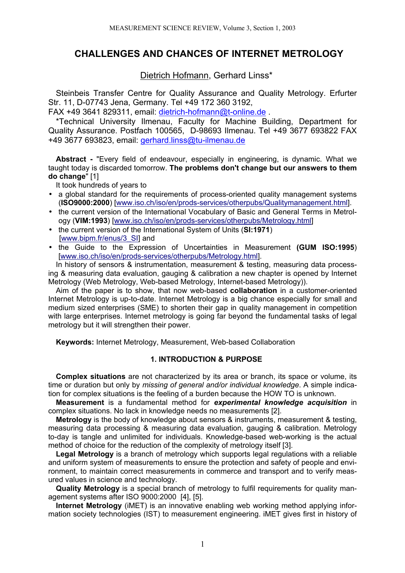# **CHALLENGES AND CHANCES OF INTERNET METROLOGY**

Dietrich Hofmann, Gerhard Linss\*

Steinbeis Transfer Centre for Quality Assurance and Quality Metrology. Erfurter Str. 11, D-07743 Jena, Germany. Tel +49 172 360 3192,

FAX +49 3641 829311, email: dietrich-hofmann@t-online.de .

\*Technical University Ilmenau, Faculty for Machine Building, Department for Quality Assurance. Postfach 100565, D-98693 Ilmenau. Tel +49 3677 693822 FAX +49 3677 693823, email: gerhard.linss@tu-ilmenau.de

**Abstract -** "Every field of endeavour, especially in engineering, is dynamic. What we taught today is discarded tomorrow. **The problems don't change but our answers to them do change**" [1]

It took hundreds of years to

- a global standard for the requirements of process-oriented quality management systems (**ISO9000:2000**) [www.iso.ch/iso/en/prods-services/otherpubs/Qualitymanagement.html].
- the current version of the International Vocabulary of Basic and General Terms in Metrology (**VIM:1993**) [www.iso.ch/iso/en/prods-services/otherpubs/Metrology.html]
- the current version of the International System of Units (**SI:1971**) [www.bipm.fr/enus/3\_SI] and
- the Guide to the Expression of Uncertainties in Measurement **(GUM ISO:1995**) [www.iso.ch/iso/en/prods-services/otherpubs/Metrology.html].

In history of sensors & instrumentation, measurement & testing, measuring data processing & measuring data evaluation, gauging & calibration a new chapter is opened by Internet Metrology (Web Metrology, Web-based Metrology, Internet-based Metrology)).

Aim of the paper is to show, that now web-based **collaboration** in a customer-oriented Internet Metrology is up-to-date. Internet Metrology is a big chance especially for small and medium sized enterprises (SME) to shorten their gap in quality management in competition with large enterprises. Internet metrology is going far beyond the fundamental tasks of legal metrology but it will strengthen their power.

**Keywords:** Internet Metrology, Measurement, Web-based Collaboration

## **1. INTRODUCTION & PURPOSE**

**Complex situations** are not characterized by its area or branch, its space or volume, its time or duration but only by *missing of general and/or individual knowledge*. A simple indication for complex situations is the feeling of a burden because the HOW TO is unknown.

**Measurement** is a fundamental method for *experimental knowledge acquisition* in complex situations. No lack in knowledge needs no measurements [2].

**Metrology** is the body of knowledge about sensors & instruments, measurement & testing, measuring data processing & measuring data evaluation, gauging & calibration. Metrology to-day is tangle and unlimited for individuals. Knowledge-based web-working is the actual method of choice for the reduction of the complexity of metrology itself [3].

**Legal Metrology** is a branch of metrology which supports legal regulations with a reliable and uniform system of measurements to ensure the protection and safety of people and environment, to maintain correct measurements in commerce and transport and to verify measured values in science and technology.

**Quality Metrology** is a special branch of metrology to fulfil requirements for quality management systems after ISO 9000:2000 [4], [5].

**Internet Metrology** (iMET) is an innovative enabling web working method applying information society technologies (IST) to measurement engineering. iMET gives first in history of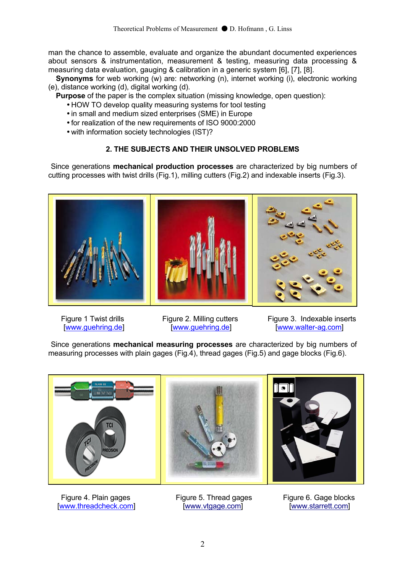man the chance to assemble, evaluate and organize the abundant documented experiences about sensors & instrumentation, measurement & testing, measuring data processing & measuring data evaluation, gauging & calibration in a generic system [6], [7], [8].

**Synonyms** for web working (w) are: networking (n), internet working (i), electronic working (e), distance working (d), digital working (d).

**Purpose** of the paper is the complex situation (missing knowledge, open question):

- HOW TO develop quality measuring systems for tool testing
- in small and medium sized enterprises (SME) in Europe
- for realization of the new requirements of ISO 9000:2000
- with information society technologies (IST)?

# **2. THE SUBJECTS AND THEIR UNSOLVED PROBLEMS**

 Since generations **mechanical production processes** are characterized by big numbers of cutting processes with twist drills (Fig.1), milling cutters (Fig.2) and indexable inserts (Fig.3).



Figure 1 Twist drills Figure 2. Milling cutters Figure 3. Indexable inserts [www.guehring.de] [www.guehring.de] [www.walter-ag.com]

 Since generations **mechanical measuring processes** are characterized by big numbers of measuring processes with plain gages (Fig.4), thread gages (Fig.5) and gage blocks (Fig.6).



Figure 4. Plain gages Figure 5. Thread gages Figure 6. Gage blocks [www.threadcheck.com] [www.vtgage.com] [www.starrett.com]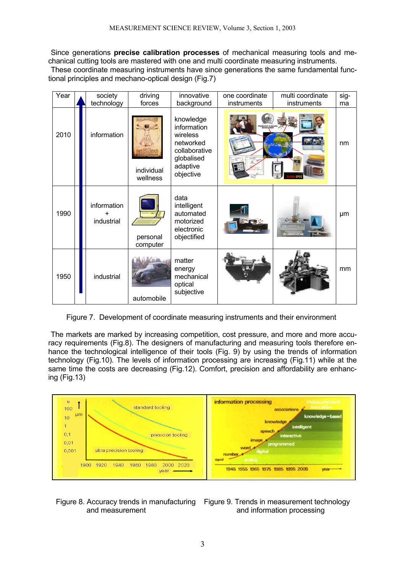Since generations **precise calibration processes** of mechanical measuring tools and mechanical cutting tools are mastered with one and multi coordinate measuring instruments.

 These coordinate measuring instruments have since generations the same fundamental functional principles and mechano-optical design (Fig.7)

| Year | society<br>technology                  | driving<br>forces      | innovative<br>background                                                                                  | one coordinate<br>instruments | multi coordinate<br>instruments | sig-<br>ma |
|------|----------------------------------------|------------------------|-----------------------------------------------------------------------------------------------------------|-------------------------------|---------------------------------|------------|
| 2010 | information                            | individual<br>wellness | knowledge<br>information<br>wireless<br>networked<br>collaborative<br>globalised<br>adaptive<br>objective |                               |                                 | nm         |
| 1990 | information<br>$\ddot{}$<br>industrial | personal<br>computer   | data<br>intelligent<br>automated<br>motorized<br>electronic<br>objectified                                |                               |                                 | μm         |
| 1950 | industrial                             | automobile             | matter<br>energy<br>mechanical<br>optical<br>subjective                                                   |                               |                                 | mm         |

Figure 7. Development of coordinate measuring instruments and their environment

 The markets are marked by increasing competition, cost pressure, and more and more accuracy requirements (Fig.8). The designers of manufacturing and measuring tools therefore enhance the technological intelligence of their tools (Fig. 9) by using the trends of information technology (Fig.10). The levels of information processing are increasing (Fig.11) while at the same time the costs are decreasing (Fig.12). Comfort, precision and affordability are enhancing (Fig.13)



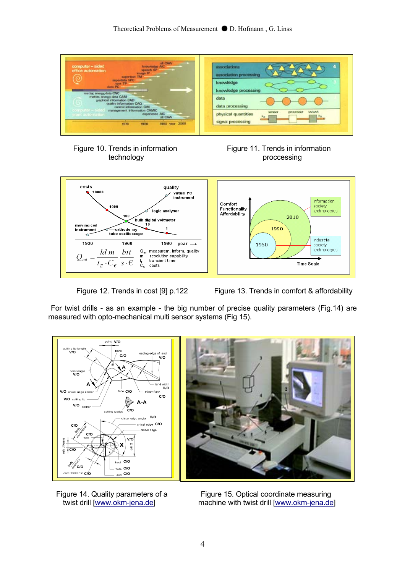







Figure 12. Trends in cost [9] p.122 Figure 13. Trends in comfort & affordability

 For twist drills - as an example - the big number of precise quality parameters (Fig.14) are measured with opto-mechanical multi sensor systems (Fig 15).



Figure 14. Quality parameters of a Figure 15. Optical coordinate measuring<br>machine with twist drill Iwww.okm-iena.de machine with twist drill [www.okm-jena.de]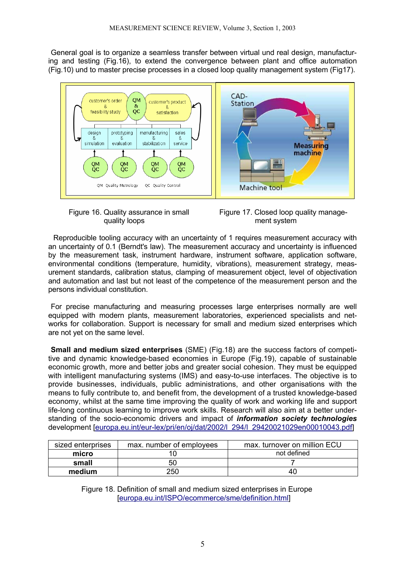General goal is to organize a seamless transfer between virtual und real design, manufacturing and testing (Fig.16), to extend the convergence between plant and office automation (Fig.10) und to master precise processes in a closed loop quality management system (Fig17).







 Reproducible tooling accuracy with an uncertainty of 1 requires measurement accuracy with an uncertainty of 0.1 (Berndt's law). The measurement accuracy and uncertainty is influenced by the measurement task, instrument hardware, instrument software, application software, environmental conditions (temperature, humidity, vibrations), measurement strategy, measurement standards, calibration status, clamping of measurement object, level of objectivation and automation and last but not least of the competence of the measurement person and the persons individual constitution.

 For precise manufacturing and measuring processes large enterprises normally are well equipped with modern plants, measurement laboratories, experienced specialists and networks for collaboration. Support is necessary for small and medium sized enterprises which are not yet on the same level.

 **Small and medium sized enterprises** (SME) (Fig.18) are the success factors of competitive and dynamic knowledge-based economies in Europe (Fig.19), capable of sustainable economic growth, more and better jobs and greater social cohesion. They must be equipped with intelligent manufacturing systems (IMS) and easy-to-use interfaces. The objective is to provide businesses, individuals, public administrations, and other organisations with the means to fully contribute to, and benefit from, the development of a trusted knowledge-based economy, whilst at the same time improving the quality of work and working life and support life-long continuous learning to improve work skills. Research will also aim at a better understanding of the socio-economic drivers and impact of *information society technologies* development [europa.eu.int/eur-lex/pri/en/oj/dat/2002/l\_294/l\_29420021029en00010043.pdf]

| sized enterprises | max. number of employees | max. turnover on million ECU |  |
|-------------------|--------------------------|------------------------------|--|
| micro             |                          | not defined                  |  |
| small             | 50                       |                              |  |
| medium            | 250                      | 40                           |  |

 Figure 18. Definition of small and medium sized enterprises in Europe [europa.eu.int/ISPO/ecommerce/sme/definition.html]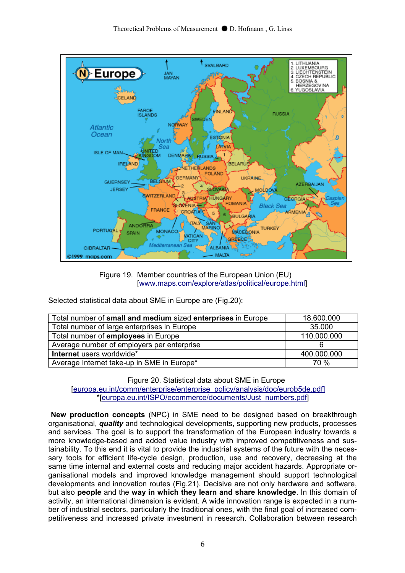

 Figure 19. Member countries of the European Union (EU) [www.maps.com/explore/atlas/political/europe.html]

Selected statistical data about SME in Europe are (Fig.20):

| Total number of small and medium sized enterprises in Europe | 18.600.000  |
|--------------------------------------------------------------|-------------|
| Total number of large enterprises in Europe                  | 35,000      |
| Total number of employees in Europe                          | 110.000.000 |
| Average number of employers per enterprise                   |             |
| Internet users worldwide*                                    | 400.000.000 |
| Average Internet take-up in SME in Europe*                   | 70 %        |

 Figure 20. Statistical data about SME in Europe [europa.eu.int/comm/enterprise/enterprise\_policy/analysis/doc/eurob5de.pdf] \*[europa.eu.int/ISPO/ecommerce/documents/Just\_numbers.pdf]

 **New production concepts** (NPC) in SME need to be designed based on breakthrough organisational, *quality* and technological developments, supporting new products, processes and services. The goal is to support the transformation of the European industry towards a more knowledge-based and added value industry with improved competitiveness and sustainability. To this end it is vital to provide the industrial systems of the future with the necessary tools for efficient life-cycle design, production, use and recovery, decreasing at the same time internal and external costs and reducing major accident hazards. Appropriate organisational models and improved knowledge management should support technological developments and innovation routes (Fig.21). Decisive are not only hardware and software, but also **people** and the **way in which they learn and share knowledge**. In this domain of activity, an international dimension is evident. A wide innovation range is expected in a number of industrial sectors, particularly the traditional ones, with the final goal of increased competitiveness and increased private investment in research. Collaboration between research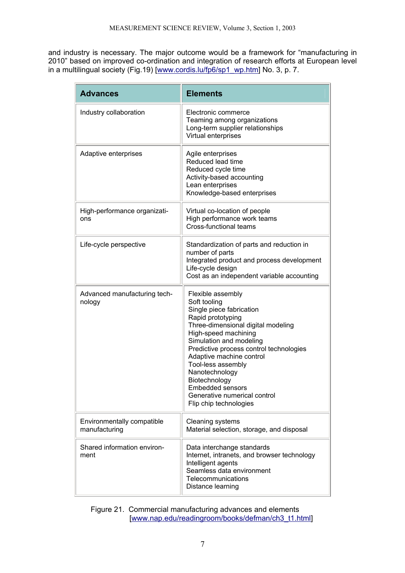and industry is necessary. The major outcome would be a framework for "manufacturing in 2010" based on improved co-ordination and integration of research efforts at European level in a multilingual society (Fig.19) [www.cordis.lu/fp6/sp1\_wp.htm] No. 3, p. 7.

| <b>Advances</b>                             | <b>Elements</b>                                                                                                                                                                                                                                                                                                                                                                           |  |
|---------------------------------------------|-------------------------------------------------------------------------------------------------------------------------------------------------------------------------------------------------------------------------------------------------------------------------------------------------------------------------------------------------------------------------------------------|--|
| Industry collaboration                      | Electronic commerce<br>Teaming among organizations<br>Long-term supplier relationships<br>Virtual enterprises                                                                                                                                                                                                                                                                             |  |
| Adaptive enterprises                        | Agile enterprises<br>Reduced lead time<br>Reduced cycle time<br>Activity-based accounting<br>Lean enterprises<br>Knowledge-based enterprises                                                                                                                                                                                                                                              |  |
| High-performance organizati-<br>ons         | Virtual co-location of people<br>High performance work teams<br>Cross-functional teams                                                                                                                                                                                                                                                                                                    |  |
| Life-cycle perspective                      | Standardization of parts and reduction in<br>number of parts<br>Integrated product and process development<br>Life-cycle design<br>Cost as an independent variable accounting                                                                                                                                                                                                             |  |
| Advanced manufacturing tech-<br>nology      | Flexible assembly<br>Soft tooling<br>Single piece fabrication<br>Rapid prototyping<br>Three-dimensional digital modeling<br>High-speed machining<br>Simulation and modeling<br>Predictive process control technologies<br>Adaptive machine control<br>Tool-less assembly<br>Nanotechnology<br>Biotechnology<br>Embedded sensors<br>Generative numerical control<br>Flip chip technologies |  |
| Environmentally compatible<br>manufacturing | Cleaning systems<br>Material selection, storage, and disposal                                                                                                                                                                                                                                                                                                                             |  |
| Shared information environ-<br>ment         | Data interchange standards<br>Internet, intranets, and browser technology<br>Intelligent agents<br>Seamless data environment<br>Telecommunications<br>Distance learning                                                                                                                                                                                                                   |  |

 Figure 21. Commercial manufacturing advances and elements [www.nap.edu/readingroom/books/defman/ch3\_t1.html]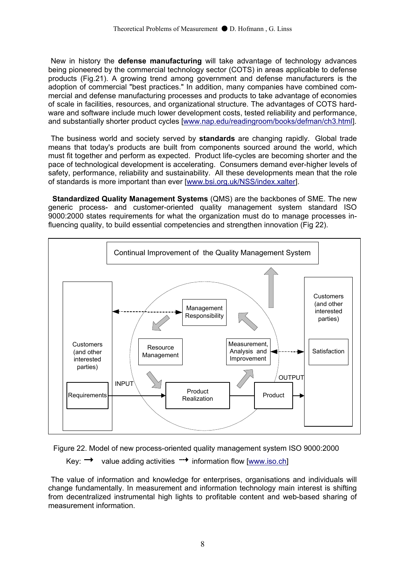New in history the **defense manufacturing** will take advantage of technology advances being pioneered by the commercial technology sector (COTS) in areas applicable to defense products (Fig.21). A growing trend among government and defense manufacturers is the adoption of commercial "best practices." In addition, many companies have combined commercial and defense manufacturing processes and products to take advantage of economies of scale in facilities, resources, and organizational structure. The advantages of COTS hardware and software include much lower development costs, tested reliability and performance, and substantially shorter product cycles [www.nap.edu/readingroom/books/defman/ch3.html].

 The business world and society served by **standards** are changing rapidly. Global trade means that today's products are built from components sourced around the world, which must fit together and perform as expected. Product life-cycles are becoming shorter and the pace of technological development is accelerating. Consumers demand ever-higher levels of safety, performance, reliability and sustainability. All these developments mean that the role of standards is more important than ever [www.bsi.org.uk/NSS/index.xalter].

 **Standardized Quality Management Systems** (QMS) are the backbones of SME. The new generic process- and customer-oriented quality management system standard ISO 9000:2000 states requirements for what the organization must do to manage processes influencing quality, to build essential competencies and strengthen innovation (Fig 22).





Key:  $\rightarrow$  value adding activities  $\rightarrow$  information flow [www.iso.ch]

 The value of information and knowledge for enterprises, organisations and individuals will change fundamentally. In measurement and information technology main interest is shifting from decentralized instrumental high lights to profitable content and web-based sharing of measurement information.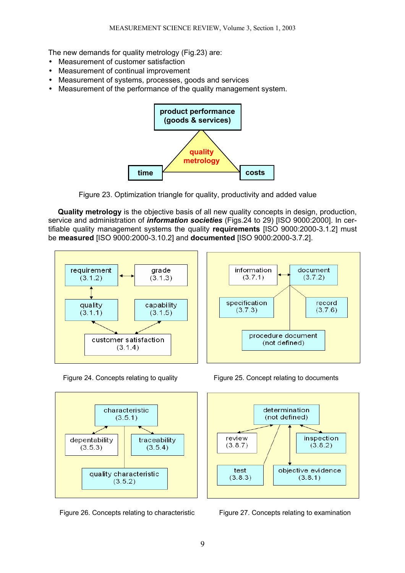The new demands for quality metrology (Fig.23) are:

- Measurement of customer satisfaction
- Measurement of continual improvement
- Measurement of systems, processes, goods and services
- Measurement of the performance of the quality management system.



Figure 23. Optimization triangle for quality, productivity and added value

**Quality metrology** is the objective basis of all new quality concepts in design, production, service and administration of *information societies* (Figs.24 to 29) [ISO 9000:2000]. In certifiable quality management systems the quality **requirements** [ISO 9000:2000-3.1.2] must be **measured** [ISO 9000:2000-3.10.2] and **documented** [ISO 9000:2000-3.7.2].





Figure 24. Concepts relating to quality Figure 25. Concept relating to documents



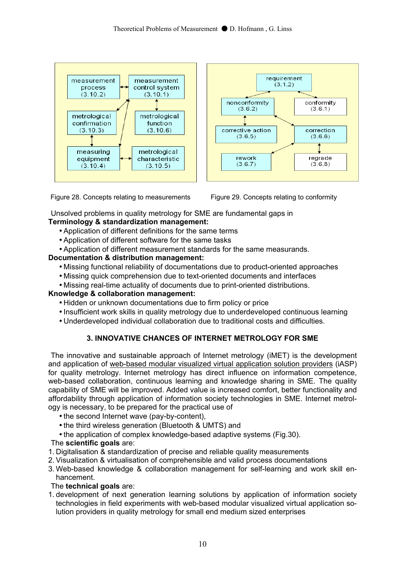

Figure 28. Concepts relating to measurements Figure 29. Concepts relating to conformity

Unsolved problems in quality metrology for SME are fundamental gaps in

# **Terminology & standardization management:**

- Application of different definitions for the same terms
- Application of different software for the same tasks
- Application of different measurement standards for the same measurands.

# **Documentation & distribution management:**

- Missing functional reliability of documentations due to product-oriented approaches
- Missing quick comprehension due to text-oriented documents and interfaces
- Missing real-time actuality of documents due to print-oriented distributions.

## **Knowledge & collaboration management:**

- Hidden or unknown documentations due to firm policy or price
- Insufficient work skills in quality metrology due to underdeveloped continuous learning
- Underdeveloped individual collaboration due to traditional costs and difficulties.

# **3. INNOVATIVE CHANCES OF INTERNET METROLOGY FOR SME**

 The innovative and sustainable approach of Internet metrology (iMET) is the development and application of web-based modular visualized virtual application solution providers (iASP) for quality metrology. Internet metrology has direct influence on information competence, web-based collaboration, continuous learning and knowledge sharing in SME. The quality capability of SME will be improved. Added value is increased comfort, better functionality and affordability through application of information society technologies in SME. Internet metrology is necessary, to be prepared for the practical use of

- the second Internet wave (pay-by-content),
- the third wireless generation (Bluetooth & UMTS) and
- the application of complex knowledge-based adaptive systems (Fig.30).

## The **scientific goals** are:

- 1. Digitalisation & standardization of precise and reliable quality measurements
- 2. Visualization & virtualisation of comprehensible and valid process documentations
- 3. Web-based knowledge & collaboration management for self-learning and work skill enhancement.

# The **technical goals** are:

1. development of next generation learning solutions by application of information society technologies in field experiments with web-based modular visualized virtual application solution providers in quality metrology for small end medium sized enterprises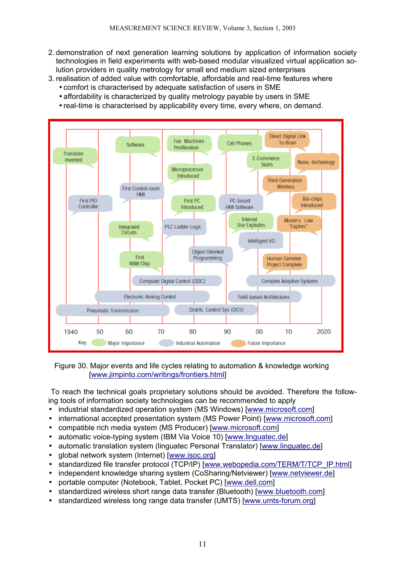- 2. demonstration of next generation learning solutions by application of information society technologies in field experiments with web-based modular visualized virtual application solution providers in quality metrology for small end medium sized enterprises
- 3. realisation of added value with comfortable, affordable and real-time features where • comfort is characterised by adequate satisfaction of users in SME
	- affordability is characterized by quality metrology payable by users in SME
	- real-time is characterised by applicability every time, every where, on demand.



 Figure 30. Major events and life cycles relating to automation & knowledge working [www.jimpinto.com/writings/frontiers.html]

 To reach the technical goals proprietary solutions should be avoided. Therefore the following tools of information society technologies can be recommended to apply

- industrial standardized operation system (MS Windows) [www.microsoft.com]
- international accepted presentation system (MS Power Point) [www.microsoft.com]
- compatible rich media system (MS Producer) [www.microsoft.com]
- automatic voice-typing system (IBM Via Voice 10) [www.linguatec.de]
- automatic translation system (linguatec Personal Translator) [www.linguatec.de]
- global network system (Internet) [www.isoc.org]
- standardized file transfer protocol (TCP/IP) [www.webopedia.com/TERM/T/TCP\_IP.html]
- independent knowledge sharing system (CoSharing/Netviewer) [www.netviewer.de]
- portable computer (Notebook, Tablet, Pocket PC) [www.dell.com]
- standardized wireless short range data transfer (Bluetooth) [www.bluetooth.com]
- standardized wireless long range data transfer (UMTS) [www.umts-forum.org]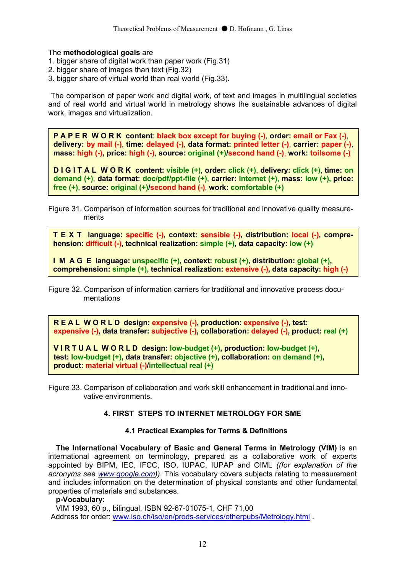## The **methodological goals** are

- 1. bigger share of digital work than paper work (Fig.31)
- 2. bigger share of images than text (Fig.32)
- 3. bigger share of virtual world than real world (Fig.33).

 The comparison of paper work and digital work, of text and images in multilingual societies and of real world and virtual world in metrology shows the sustainable advances of digital work, images and virtualization.

**P A P E R W O R K content**: **black box except for buying (-)**, **order: email or Fax (-)**, **delivery: by mail (-)**, **time: delayed (-)**, **data format: printed letter (-)**, **carrier: paper (-)**, **mass: high (-), price: high (-)**, **source: original (+)/second hand (-)**, **work: toilsome (-)** 

**D I G I T A L W O R K content: visible (+)**, **order: click (+)**, **delivery: click (+)**, **time: on demand (+)**, **data format: doc/pdf/ppt-file (+)**, **carrier: Internet (+), mass: low (+), price: free (+)**, **source: original (+)/second hand (-)**, **work: comfortable (+)** 

Figure 31. Comparison of information sources for traditional and innovative quality measure ments

**T E X T language: specific (-), context: sensible (-), distribution: local (-), comprehension: difficult (-), technical realization: simple (+), data capacity: low (+)** 

**I M A G E language: unspecific (+), context: robust (+), distribution: global (+), comprehension: simple (+), technical realization: extensive (-), data capacity: high (-)** 

Figure 32. Comparison of information carriers for traditional and innovative process docu mentations

**R E A L W O R L D design: expensive (-), production: expensive (-), test: expensive (-), data transfer: subjective (-), collaboration: delayed (-), product: real (+)** 

**V I R T U A L W O R L D design: low-budget (+), production: low-budget (+), test: low-budget (+), data transfer: objective (+), collaboration: on demand (+), product: material virtual (-)/intellectual real (+)** 

Figure 33. Comparison of collaboration and work skill enhancement in traditional and inno vative environments.

# **4. FIRST STEPS TO INTERNET METROLOGY FOR SME**

#### **4.1 Practical Examples for Terms & Definitions**

**The International Vocabulary of Basic and General Terms in Metrology (VIM)** is an international agreement on terminology, prepared as a collaborative work of experts appointed by BIPM, IEC, IFCC, ISO, IUPAC, IUPAP and OIML *((for explanation of the acronyms see www.google.com))*. This vocabulary covers subjects relating to measurement and includes information on the determination of physical constants and other fundamental properties of materials and substances.

#### **p-Vocabulary**:

VIM 1993, 60 p., bilingual, ISBN 92-67-01075-1, CHF 71,00 Address for order: www.iso.ch/iso/en/prods-services/otherpubs/Metrology.html .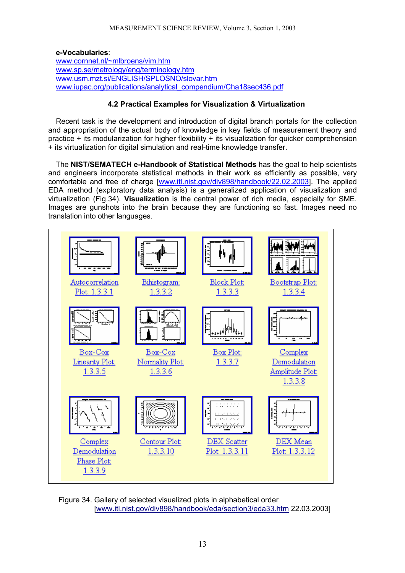#### **e-Vocabularies**: www.cornnet.nl/~mlbroens/vim.htm www.sp.se/metrology/eng/terminology.htm www.usm.mzt.si/ENGLISH/SPLOSNO/slovar.htm www.iupac.org/publications/analytical\_compendium/Cha18sec436.pdf

# **4.2 Practical Examples for Visualization & Virtualization**

Recent task is the development and introduction of digital branch portals for the collection and appropriation of the actual body of knowledge in key fields of measurement theory and practice + its modularization for higher flexibility + its visualization for quicker comprehension + its virtualization for digital simulation and real-time knowledge transfer.

The **NIST/SEMATECH e-Handbook of Statistical Methods** has the goal to help scientists and engineers incorporate statistical methods in their work as efficiently as possible, very comfortable and free of charge [www.itl.nist.gov/div898/handbook/22.02.2003]. The applied EDA method (exploratory data analysis) is a generalized application of visualization and virtualization (Fig.34). **Visualization** is the central power of rich media, especially for SME. Images are gunshots into the brain because they are functioning so fast. Images need no translation into other languages.



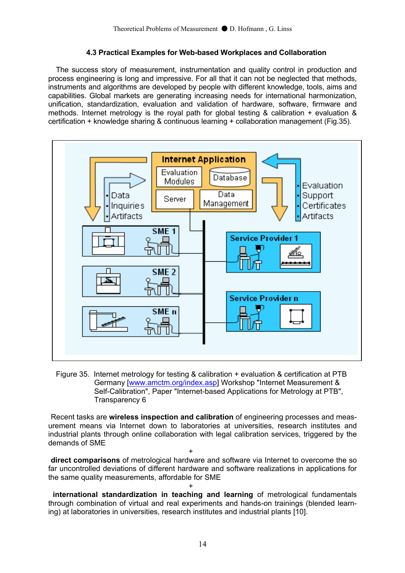# **4.3 Practical Examples for Web-based Workplaces and Collaboration**

The success story of measurement, instrumentation and quality control in production and process engineering is long and impressive. For all that it can not be neglected that methods, instruments and algorithms are developed by people with different knowledge, tools, aims and capabilities. Global markets are generating increasing needs for international harmonization, unification, standardization, evaluation and validation of hardware, software, firmware and methods. Internet metrology is the royal path for global testing & calibration + evaluation & certification + knowledge sharing & continuous learning + collaboration management (Fig.35).



Figure 35. Internet metrology for testing & calibration + evaluation & certification at PTB Germany [www.amctm.org/index.asp] Workshop "Internet Measurement & Self-Calibration", Paper "Internet-based Applications for Metrology at PTB", Transparency 6

 Recent tasks are **wireless inspection and calibration** of engineering processes and measurement means via Internet down to laboratories at universities, research institutes and industrial plants through online collaboration with legal calibration services, triggered by the demands of SME

 $+$ **direct comparisons** of metrological hardware and software via Internet to overcome the so far uncontrolled deviations of different hardware and software realizations in applications for the same quality measurements, affordable for SME

 $+$  **international standardization in teaching and learning** of metrological fundamentals through combination of virtual and real experiments and hands-on trainings (blended learning) at laboratories in universities, research institutes and industrial plants [10].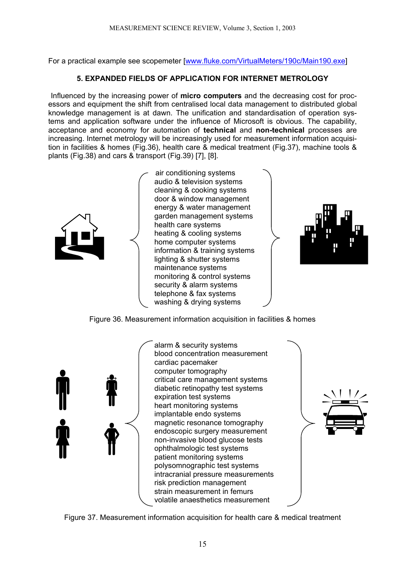For a practical example see scopemeter [www.fluke.com/VirtualMeters/190c/Main190.exe]

# **5. EXPANDED FIELDS OF APPLICATION FOR INTERNET METROLOGY**

 Influenced by the increasing power of **micro computers** and the decreasing cost for processors and equipment the shift from centralised local data management to distributed global knowledge management is at dawn. The unification and standardisation of operation systems and application software under the influence of Microsoft is obvious. The capability, acceptance and economy for automation of **technical** and **non-technical** processes are increasing. Internet metrology will be increasingly used for measurement information acquisition in facilities & homes (Fig.36), health care & medical treatment (Fig.37), machine tools & plants (Fig.38) and cars & transport (Fig.39) [7], [8].



 air conditioning systems audio & television systems cleaning & cooking systems door & window management energy & water management garden management systems health care systems heating & cooling systems home computer systems information & training systems lighting & shutter systems maintenance systems monitoring & control systems security & alarm systems telephone & fax systems washing & drying systems



Figure 36. Measurement information acquisition in facilities & homes



alarm & security systems blood concentration measurement cardiac pacemaker computer tomography critical care management systems diabetic retinopathy test systems expiration test systems heart monitoring systems implantable endo systems magnetic resonance tomography endoscopic surgery measurement non-invasive blood glucose tests ophthalmologic test systems patient monitoring systems polysomnographic test systems intracranial pressure measurements risk prediction management strain measurement in femurs volatile anaesthetics measurement



Figure 37. Measurement information acquisition for health care & medical treatment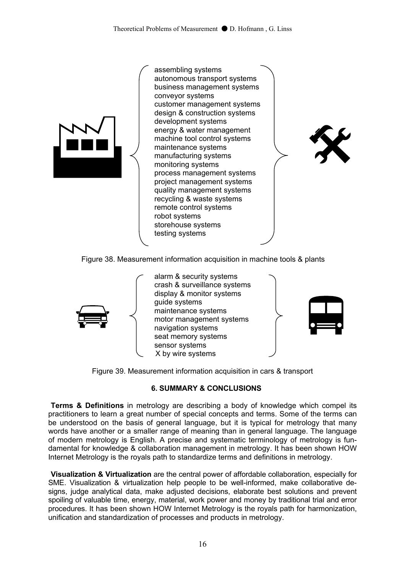

assembling systems autonomous transport systems business management systems conveyor systems customer management systems design & construction systems development systems energy & water management machine tool control systems maintenance systems manufacturing systems monitoring systems process management systems project management systems quality management systems recycling & waste systems remote control systems robot systems storehouse systems testing systems



Figure 38. Measurement information acquisition in machine tools & plants



alarm & security systems crash & surveillance systems display & monitor systems guide systems maintenance systems motor management systems navigation systems seat memory systems sensor systems X by wire systems



Figure 39. Measurement information acquisition in cars & transport

# **6. SUMMARY & CONCLUSIONS**

 **Terms & Definitions** in metrology are describing a body of knowledge which compel its practitioners to learn a great number of special concepts and terms. Some of the terms can be understood on the basis of general language, but it is typical for metrology that many words have another or a smaller range of meaning than in general language. The language of modern metrology is English. A precise and systematic terminology of metrology is fundamental for knowledge & collaboration management in metrology. It has been shown HOW Internet Metrology is the royals path to standardize terms and definitions in metrology.

 **Visualization & Virtualization** are the central power of affordable collaboration, especially for SME. Visualization & virtualization help people to be well-informed, make collaborative designs, judge analytical data, make adjusted decisions, elaborate best solutions and prevent spoiling of valuable time, energy, material, work power and money by traditional trial and error procedures. It has been shown HOW Internet Metrology is the royals path for harmonization, unification and standardization of processes and products in metrology.